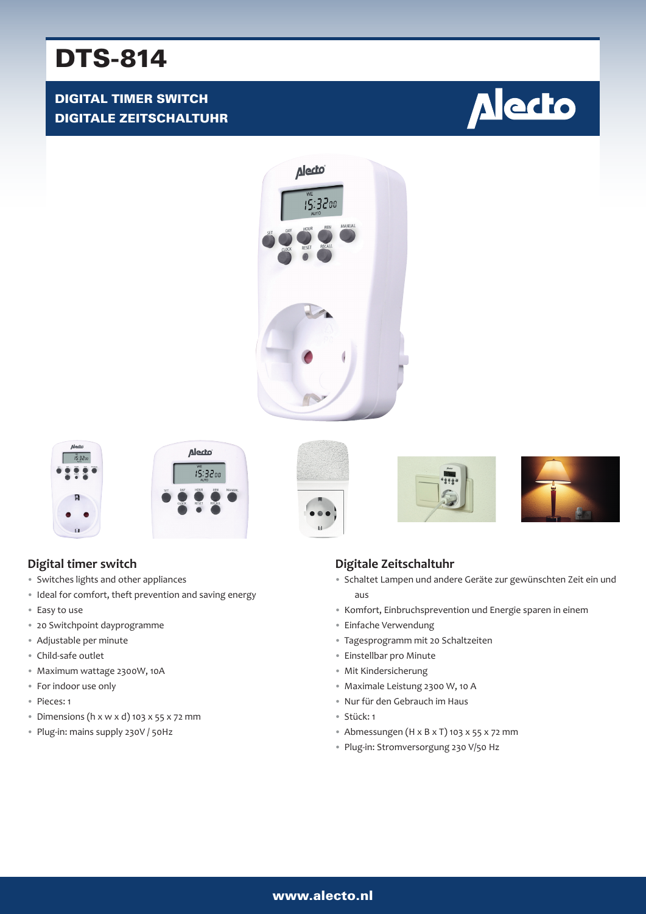# DTS-814

# DIGITAL TIMER SWITCH DIGITALE ZEITSCHALTUHR















## **Digital timer switch**

- Switches lights and other appliances
- Ideal for comfort, theft prevention and saving energy
- Easy to use
- 20 Switchpoint dayprogramme
- Adjustable per minute
- Child-safe outlet
- Maximum wattage 2300W, 10A
- For indoor use only
- Pieces: 1
- Dimensions (h x w x d) 103 x 55 x 72 mm
- Plug-in: mains supply 230V / 50Hz

## **Digitale Zeitschaltuhr**

- Schaltet Lampen und andere Geräte zur gewünschten Zeit ein und aus
- Komfort, Einbruchsprevention und Energie sparen in einem
- Einfache Verwendung
- Tagesprogramm mit 20 Schaltzeiten
- Einstellbar pro Minute
- Mit Kindersicherung
- Maximale Leistung 2300 W, 10 A
- Nur für den Gebrauch im Haus
- Stück: 1
- Abmessungen ( $H \times B \times T$ ) 103  $\times$  55  $\times$  72 mm
- Plug-in: Stromversorgung 230 V/50 Hz